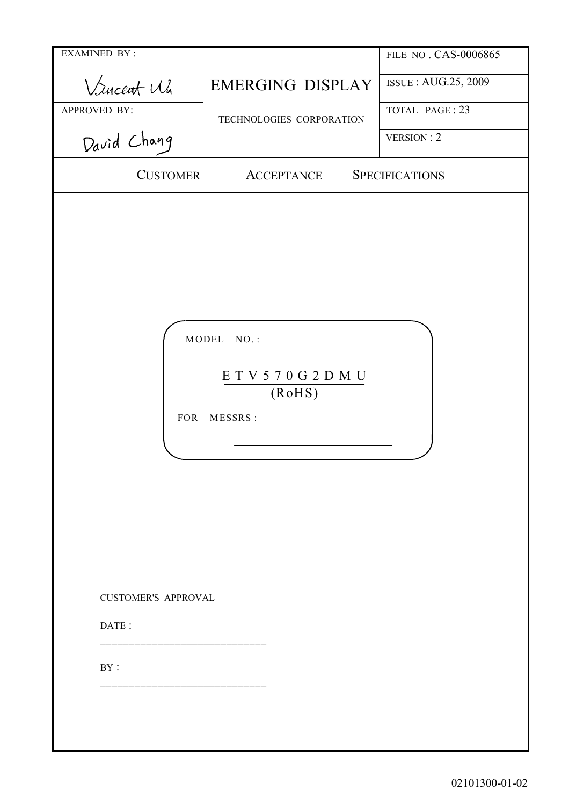| <b>EXAMINED BY:</b>                      |                                                          | FILE NO. CAS-0006865  |
|------------------------------------------|----------------------------------------------------------|-----------------------|
| Vincent Mi                               | <b>EMERGING DISPLAY</b>                                  | ISSUE: AUG.25, 2009   |
| APPROVED BY:                             | TECHNOLOGIES CORPORATION                                 | TOTAL PAGE: 23        |
| David Chang                              |                                                          | VERSION : 2           |
| <b>CUSTOMER</b>                          | <b>ACCEPTANCE</b>                                        | <b>SPECIFICATIONS</b> |
| <b>FOR</b><br><b>CUSTOMER'S APPROVAL</b> | MODEL NO.:<br>E T V 5 7 0 G 2 D M U<br>(RoHS)<br>MESSRS: |                       |
| DATE:                                    |                                                          |                       |
| BY:                                      |                                                          |                       |
|                                          |                                                          |                       |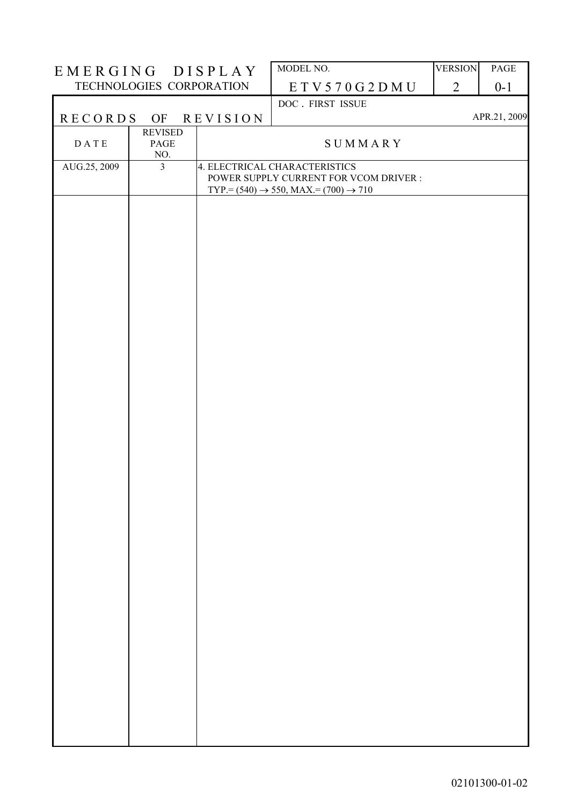| EMERGING DISPLAY         |                               |                 | MODEL NO.                                                                                                                                | <b>VERSION</b> | <b>PAGE</b>  |
|--------------------------|-------------------------------|-----------------|------------------------------------------------------------------------------------------------------------------------------------------|----------------|--------------|
| TECHNOLOGIES CORPORATION |                               |                 | ETV570G2DMU                                                                                                                              | $\overline{2}$ | $0 - 1$      |
|                          |                               |                 | DOC. FIRST ISSUE                                                                                                                         |                |              |
| <b>RECORDS</b>           | OF                            | <b>REVISION</b> |                                                                                                                                          |                | APR.21, 2009 |
| <b>DATE</b>              | <b>REVISED</b><br>PAGE<br>NO. |                 | SUMMARY                                                                                                                                  |                |              |
| AUG.25, 2009             | $\overline{3}$                |                 | 4. ELECTRICAL CHARACTERISTICS<br>POWER SUPPLY CURRENT FOR VCOM DRIVER :<br>$TYP = (540) \rightarrow 550$ , MAX $= (700) \rightarrow 710$ |                |              |
|                          |                               |                 |                                                                                                                                          |                |              |
|                          |                               |                 |                                                                                                                                          |                |              |
|                          |                               |                 |                                                                                                                                          |                |              |
|                          |                               |                 |                                                                                                                                          |                |              |
|                          |                               |                 |                                                                                                                                          |                |              |
|                          |                               |                 |                                                                                                                                          |                |              |
|                          |                               |                 |                                                                                                                                          |                |              |
|                          |                               |                 |                                                                                                                                          |                |              |
|                          |                               |                 |                                                                                                                                          |                |              |
|                          |                               |                 |                                                                                                                                          |                |              |
|                          |                               |                 |                                                                                                                                          |                |              |
|                          |                               |                 |                                                                                                                                          |                |              |
|                          |                               |                 |                                                                                                                                          |                |              |
|                          |                               |                 |                                                                                                                                          |                |              |
|                          |                               |                 |                                                                                                                                          |                |              |
|                          |                               |                 |                                                                                                                                          |                |              |
|                          |                               |                 |                                                                                                                                          |                |              |
|                          |                               |                 |                                                                                                                                          |                |              |
|                          |                               |                 |                                                                                                                                          |                |              |
|                          |                               |                 |                                                                                                                                          |                |              |
|                          |                               |                 |                                                                                                                                          |                |              |
|                          |                               |                 |                                                                                                                                          |                |              |
|                          |                               |                 |                                                                                                                                          |                |              |
|                          |                               |                 |                                                                                                                                          |                |              |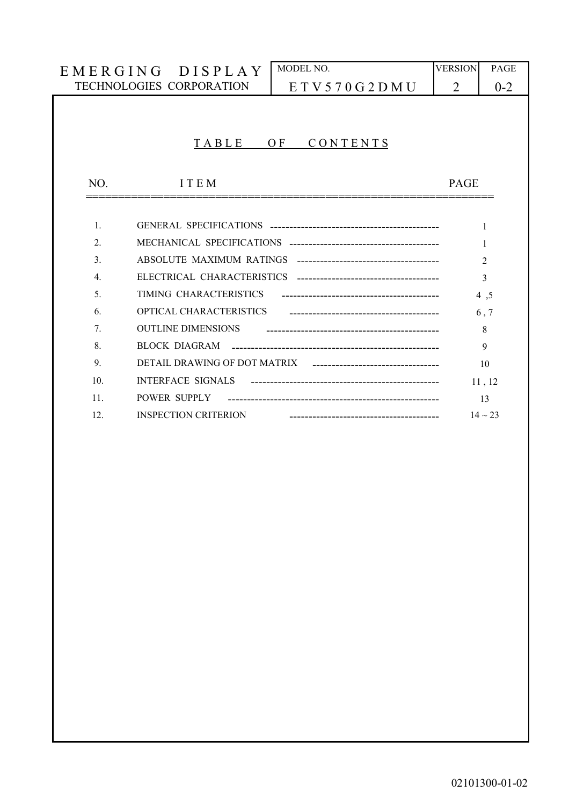|                  | EMERGING DISPLAY                                        | MODEL NO.                            | <b>VERSION</b> | PAGE         |  |  |  |  |
|------------------|---------------------------------------------------------|--------------------------------------|----------------|--------------|--|--|--|--|
|                  | <b>TECHNOLOGIES CORPORATION</b><br>E T V 5 70 G 2 D M U |                                      |                |              |  |  |  |  |
|                  |                                                         |                                      |                |              |  |  |  |  |
|                  |                                                         |                                      |                |              |  |  |  |  |
|                  | TABLE                                                   | CONTENTS<br>O <sub>F</sub>           |                |              |  |  |  |  |
|                  |                                                         |                                      |                |              |  |  |  |  |
| NO.              | <b>ITEM</b>                                             |                                      | <b>PAGE</b>    |              |  |  |  |  |
|                  |                                                         |                                      |                |              |  |  |  |  |
| $\mathbf{1}$ .   |                                                         |                                      |                | 1            |  |  |  |  |
| $\overline{2}$   | 1                                                       |                                      |                |              |  |  |  |  |
| $\mathcal{E}$    | $\overline{2}$                                          |                                      |                |              |  |  |  |  |
| $\overline{4}$ . |                                                         |                                      |                | 3            |  |  |  |  |
| 5                | TIMING CHARACTERISTICS                                  |                                      |                | 4,5          |  |  |  |  |
| 6                | OPTICAL CHARACTERISTICS                                 |                                      |                | 6, 7         |  |  |  |  |
| 7 <sub>1</sub>   | <b>OUTLINE DIMENSIONS</b>                               |                                      |                | 8            |  |  |  |  |
| 8.               | BLOCK DIAGRAM                                           |                                      |                | 9            |  |  |  |  |
| 9.               | DETAIL DRAWING OF DOT MATRIX                            | ____________________________________ |                | 10           |  |  |  |  |
| 10 <sub>l</sub>  | <b>INTERFACE SIGNALS</b>                                |                                      |                | 11, 12       |  |  |  |  |
| 11.              | POWER SUPPLY                                            |                                      |                | 13           |  |  |  |  |
| 12.              | <b>INSPECTION CRITERION</b>                             |                                      |                | $14 \sim 23$ |  |  |  |  |
|                  |                                                         |                                      |                |              |  |  |  |  |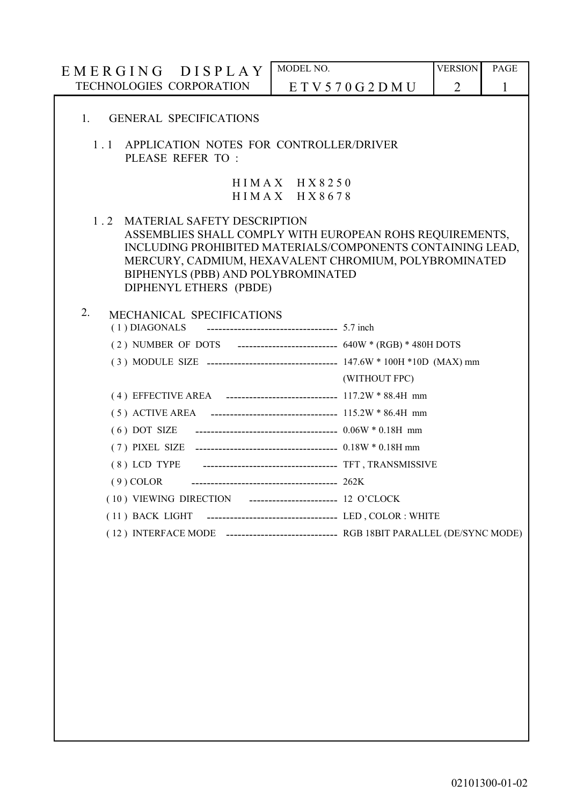| EMERGING DISPLAY                                                                                                                                                                                                                                                                             | MODEL NO.                                    |                                                                                                  | <b>VERSION</b> | <b>PAGE</b>  |  |  |  |  |  |
|----------------------------------------------------------------------------------------------------------------------------------------------------------------------------------------------------------------------------------------------------------------------------------------------|----------------------------------------------|--------------------------------------------------------------------------------------------------|----------------|--------------|--|--|--|--|--|
| TECHNOLOGIES CORPORATION                                                                                                                                                                                                                                                                     |                                              | E T V 5 70 G 2 D M U                                                                             | $\overline{2}$ | $\mathbf{1}$ |  |  |  |  |  |
| <b>GENERAL SPECIFICATIONS</b><br>1.                                                                                                                                                                                                                                                          |                                              |                                                                                                  |                |              |  |  |  |  |  |
| 1.1<br>PLEASE REFER TO:                                                                                                                                                                                                                                                                      | APPLICATION NOTES FOR CONTROLLER/DRIVER      |                                                                                                  |                |              |  |  |  |  |  |
|                                                                                                                                                                                                                                                                                              | $HIMAX$ $HX8250$<br>$HIMAX$ $HX$ 8678        |                                                                                                  |                |              |  |  |  |  |  |
| <b>MATERIAL SAFETY DESCRIPTION</b><br>1.2<br>ASSEMBLIES SHALL COMPLY WITH EUROPEAN ROHS REQUIREMENTS,<br>INCLUDING PROHIBITED MATERIALS/COMPONENTS CONTAINING LEAD,<br>MERCURY, CADMIUM, HEXAVALENT CHROMIUM, POLYBROMINATED<br>BIPHENYLS (PBB) AND POLYBROMINATED<br>DIPHENYL ETHERS (PBDE) |                                              |                                                                                                  |                |              |  |  |  |  |  |
| 2.<br>MECHANICAL SPECIFICATIONS<br>(1) DIAGONALS<br>(2) NUMBER OF DOTS ---------------------------- 640W * (RGB) * 480H DOTS                                                                                                                                                                 | ----------------------------------- 5.7 inch |                                                                                                  |                |              |  |  |  |  |  |
|                                                                                                                                                                                                                                                                                              |                                              | (3) MODULE SIZE ----------------------------------- 147.6W * 100H *10D (MAX) mm<br>(WITHOUT FPC) |                |              |  |  |  |  |  |
|                                                                                                                                                                                                                                                                                              |                                              |                                                                                                  |                |              |  |  |  |  |  |
|                                                                                                                                                                                                                                                                                              |                                              |                                                                                                  |                |              |  |  |  |  |  |
|                                                                                                                                                                                                                                                                                              |                                              |                                                                                                  |                |              |  |  |  |  |  |
|                                                                                                                                                                                                                                                                                              |                                              |                                                                                                  |                |              |  |  |  |  |  |
|                                                                                                                                                                                                                                                                                              |                                              |                                                                                                  |                |              |  |  |  |  |  |
| $(9)$ COLOR<br>(10) VIEWING DIRECTION ----------------------- 12 O'CLOCK                                                                                                                                                                                                                     |                                              |                                                                                                  |                |              |  |  |  |  |  |
| (11) BACK LIGHT ----------------------------------- LED, COLOR: WHITE                                                                                                                                                                                                                        |                                              |                                                                                                  |                |              |  |  |  |  |  |
| (12) INTERFACE MODE ------------------------------ RGB 18BIT PARALLEL (DE/SYNC MODE)                                                                                                                                                                                                         |                                              |                                                                                                  |                |              |  |  |  |  |  |
|                                                                                                                                                                                                                                                                                              |                                              |                                                                                                  |                |              |  |  |  |  |  |
|                                                                                                                                                                                                                                                                                              |                                              |                                                                                                  |                |              |  |  |  |  |  |
|                                                                                                                                                                                                                                                                                              |                                              |                                                                                                  |                |              |  |  |  |  |  |
|                                                                                                                                                                                                                                                                                              |                                              |                                                                                                  |                |              |  |  |  |  |  |
|                                                                                                                                                                                                                                                                                              |                                              |                                                                                                  |                |              |  |  |  |  |  |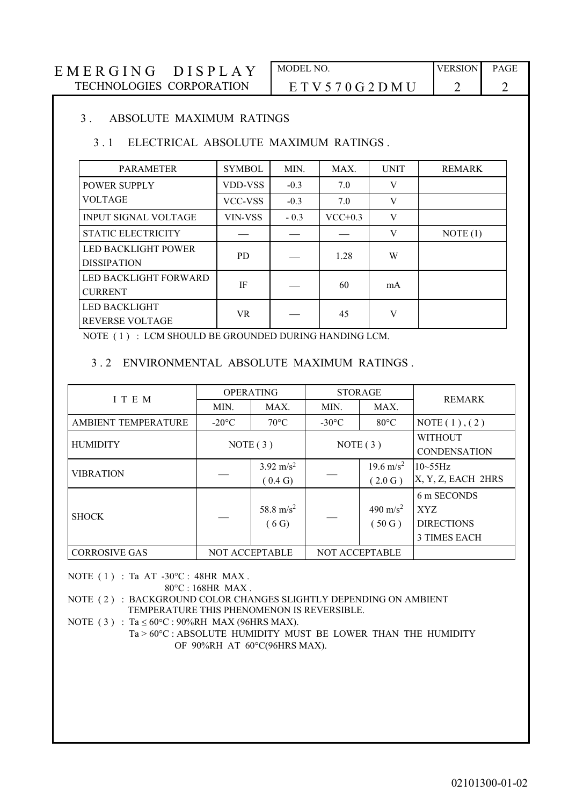# E M E R G I N G D I S P L A Y MODEL NO.<br>TECHNOLOGIES CORPORATION E T V 5 7 0 G 2 D M I 1 2 2

# $ETV570G2DMU$  2 2

#### 3 . ABSOLUTE MAXIMUM RATINGS

### 3 . 1 ELECTRICAL ABSOLUTE MAXIMUM RATINGS .

| <b>PARAMETER</b>                                 | <b>SYMBOL</b> | MIN.   | MAX.      | <b>UNIT</b> | <b>REMARK</b> |
|--------------------------------------------------|---------------|--------|-----------|-------------|---------------|
| <b>POWER SUPPLY</b>                              | VDD-VSS       | $-0.3$ | 7.0       | V           |               |
| <b>VOLTAGE</b>                                   | VCC-VSS       | $-0.3$ | 7.0       | V           |               |
| <b>INPUT SIGNAL VOLTAGE</b>                      | VIN-VSS       | $-0.3$ | $VCC+0.3$ | V           |               |
| <b>STATIC ELECTRICITY</b>                        |               |        |           | V           | NOTE(1)       |
| <b>LED BACKLIGHT POWER</b><br><b>DISSIPATION</b> | PD.           |        | 1.28      | W           |               |
| LED BACKLIGHT FORWARD<br><b>CURRENT</b>          | IF            |        | 60        | mA          |               |
| <b>LED BACKLIGHT</b><br><b>REVERSE VOLTAGE</b>   | <b>VR</b>     |        | 45        | V           |               |

NOTE ( 1 ) : LCM SHOULD BE GROUNDED DURING HANDING LCM.

#### 3 . 2 ENVIRONMENTAL ABSOLUTE MAXIMUM RATINGS .

| I T E M                    | <b>OPERATING</b>      |                                 | <b>STORAGE</b>  |                                 | <b>REMARK</b>                                                  |  |
|----------------------------|-----------------------|---------------------------------|-----------------|---------------------------------|----------------------------------------------------------------|--|
|                            | MIN.                  | MAX.                            | MIN.            | MAX.                            |                                                                |  |
| <b>AMBIENT TEMPERATURE</b> | $-20^{\circ}$ C       | $70^{\circ}$ C                  | $-30^{\circ}$ C | $80^{\circ}$ C                  | NOTE $(1)$ , $(2)$                                             |  |
| <b>HUMIDITY</b>            | NOTE(3)               |                                 | NOTE $(3)$      |                                 | <b>WITHOUT</b><br><b>CONDENSATION</b>                          |  |
| <b>VIBRATION</b>           |                       | $3.92 \text{ m/s}^2$<br>(0.4 G) |                 | $19.6 \text{ m/s}^2$<br>(2.0 G) | $10 - 55$ Hz<br>X, Y, Z, EACH 2HRS                             |  |
| <b>SHOCK</b>               |                       | 58.8 m/s <sup>2</sup><br>(6G)   |                 | 490 m/s <sup>2</sup><br>(50G)   | 6 m SECONDS<br>XYZ<br><b>DIRECTIONS</b><br><b>3 TIMES EACH</b> |  |
| <b>CORROSIVE GAS</b>       | <b>NOT ACCEPTABLE</b> |                                 | NOT ACCEPTABLE  |                                 |                                                                |  |

NOTE  $(1)$ : Ta AT -30°C: 48HR MAX.

80°C : 168HR MAX .

NOTE ( 2 ) : BACKGROUND COLOR CHANGES SLIGHTLY DEPENDING ON AMBIENT TEMPERATURE THIS PHENOMENON IS REVERSIBLE.

NOTE ( 3 ) : Ta  $\leq 60^{\circ}$ C : 90%RH MAX (96HRS MAX).

 Ta > 60°C : ABSOLUTE HUMIDITY MUST BE LOWER THAN THE HUMIDITY OF 90%RH AT 60°C(96HRS MAX).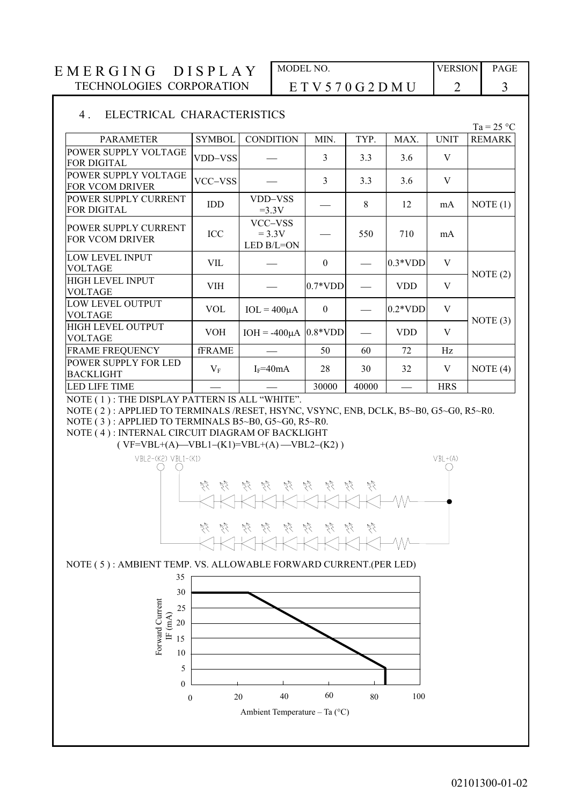#### 4 . ELECTRICAL CHARACTERISTICS

|                                                       |               |                                   |           |       |            |             | $Ta = 25 °C$  |
|-------------------------------------------------------|---------------|-----------------------------------|-----------|-------|------------|-------------|---------------|
| <b>PARAMETER</b>                                      | <b>SYMBOL</b> | <b>CONDITION</b>                  | MIN.      | TYP.  | MAX.       | <b>UNIT</b> | <b>REMARK</b> |
| POWER SUPPLY VOLTAGE<br><b>FOR DIGITAL</b>            | VDD-VSS       |                                   | 3         | 3.3   | 3.6        | V           |               |
| POWER SUPPLY VOLTAGE<br><b>FOR VCOM DRIVER</b>        | VCC-VSS       |                                   | 3         | 3.3   | 3.6        | V           |               |
| POWER SUPPLY CURRENT<br><b>FOR DIGITAL</b>            | IDD           | VDD-VSS<br>$=3.3V$                |           | 8     | 12         | mA          | NOTE(1)       |
| <b>POWER SUPPLY CURRENT</b><br><b>FOR VCOM DRIVER</b> | ICC           | VCC-VSS<br>$= 3.3V$<br>LED B/L=ON |           | 550   | 710        | mA          |               |
| LOW LEVEL INPUT<br><b>VOLTAGE</b>                     | VIL           |                                   | $\theta$  |       | $0.3*VDD$  | V           | NOTE $(2)$    |
| <b>HIGH LEVEL INPUT</b><br><b>VOLTAGE</b>             | <b>VIH</b>    |                                   | $0.7*VDD$ |       | <b>VDD</b> | V           |               |
| LOW LEVEL OUTPUT<br><b>VOLTAGE</b>                    | <b>VOL</b>    | $IOL = 400\mu A$                  | $\theta$  |       | $0.2*VDD$  | V           | NOTE $(3)$    |
| <b>HIGH LEVEL OUTPUT</b><br><b>VOLTAGE</b>            | <b>VOH</b>    | $IOH = -400\mu A$                 | $0.8*VDD$ |       | <b>VDD</b> | V           |               |
| <b>FRAME FREQUENCY</b>                                | <b>fFRAME</b> |                                   | 50        | 60    | 72         | Hz          |               |
| POWER SUPPLY FOR LED<br><b>BACKLIGHT</b>              | $V_{\rm F}$   | $I_F = 40mA$                      | 28        | 30    | 32         | V           | NOTE $(4)$    |
| <b>LED LIFE TIME</b>                                  |               |                                   | 30000     | 40000 |            | <b>HRS</b>  |               |

NOTE ( 1 ) : THE DISPLAY PATTERN IS ALL "WHITE".

NOTE ( 2 ) : APPLIED TO TERMINALS /RESET, HSYNC, VSYNC, ENB, DCLK, B5~B0, G5~G0, R5~R0.

NOTE ( 3 ) : APPLIED TO TERMINALS B5~B0, G5~G0, R5~R0. NOTE ( 4 ) : INTERNAL CIRCUIT DIAGRAM OF BACKLIGHT

 $(VF=VBL+(A)$ —VBL1–(K1)=VBL+(A) —VBL2–(K2))



NOTE ( 5 ) : AMBIENT TEMP. VS. ALLOWABLE FORWARD CURRENT.(PER LED)

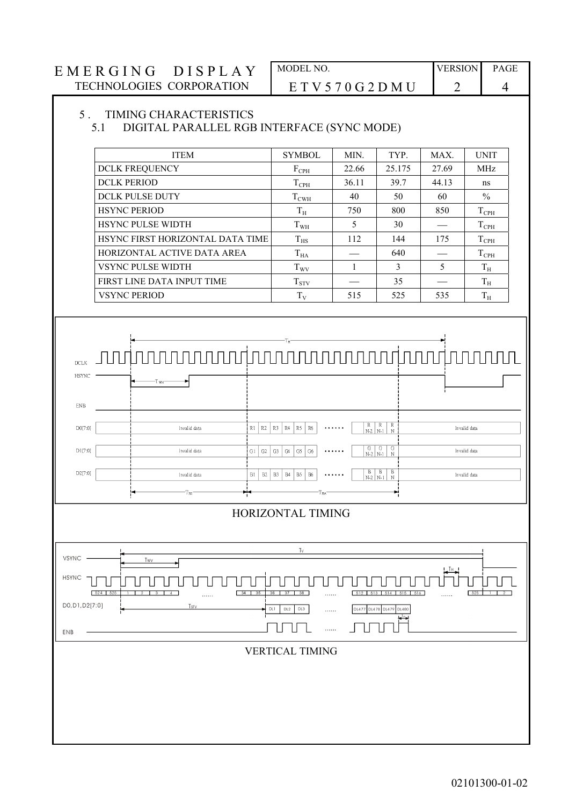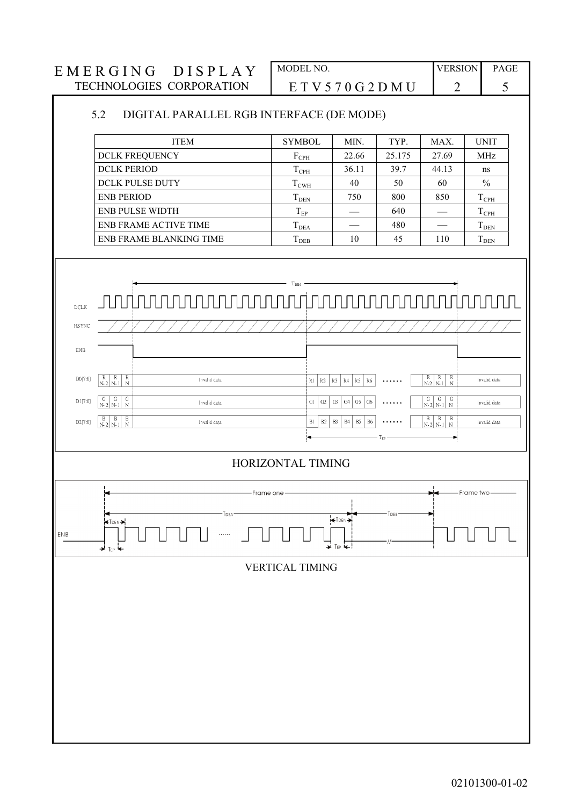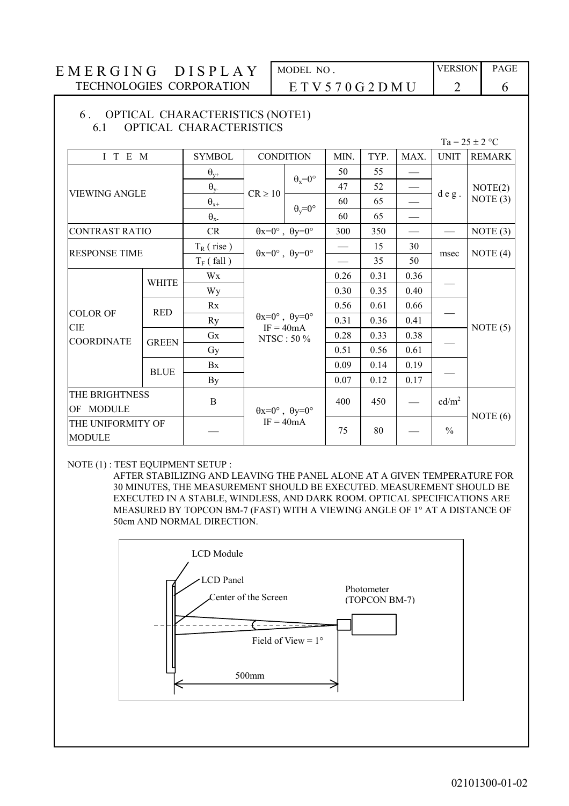#### 6 . OPTICAL CHARACTERISTICS (NOTE1) 6.1 OPTICAL CHARACTERISTICS

|  | $Ta = 25 \pm 2$ °C |
|--|--------------------|
|--|--------------------|

| I T E M                            |              | <b>SYMBOL</b>              | <b>CONDITION</b>                                           |                      | MIN. | TYP. | MAX. | <b>UNIT</b>       | <b>REMARK</b> |
|------------------------------------|--------------|----------------------------|------------------------------------------------------------|----------------------|------|------|------|-------------------|---------------|
|                                    |              | $\theta_{y+}$              |                                                            | $\theta_x = 0^\circ$ |      | 55   |      |                   |               |
| <b>VIEWING ANGLE</b>               |              | $\theta_{y}$               | $CR \ge 10$                                                |                      | 47   | 52   |      |                   | NOTE(2)       |
|                                    |              | $\boldsymbol{\theta}_{x+}$ |                                                            | $\theta_v = 0^\circ$ | 60   | 65   |      | deg.              | NOTE $(3)$    |
|                                    |              | $\theta_{x}$               |                                                            |                      | 60   | 65   |      |                   |               |
| <b>CONTRAST RATIO</b>              |              | CR                         | $\theta x=0^{\circ}$ , $\theta y=0^{\circ}$                |                      | 300  | 350  |      |                   | NOTE $(3)$    |
| <b>RESPONSE TIME</b>               |              | $T_R$ (rise)               |                                                            |                      |      | 15   | 30   | msec              |               |
|                                    |              | $T_F$ (fall)               | $\theta x=0^{\circ}$ , $\theta y=0^{\circ}$                |                      |      | 35   | 50   |                   | NOTE $(4)$    |
|                                    | <b>WHITE</b> | Wx                         |                                                            |                      | 0.26 | 0.31 | 0.36 |                   |               |
|                                    |              | Wy                         |                                                            |                      | 0.30 | 0.35 | 0.40 |                   |               |
|                                    | <b>RED</b>   | Rx                         |                                                            |                      |      | 0.61 | 0.66 |                   | NOTE $(5)$    |
| <b>COLOR OF</b><br><b>CIE</b>      |              | <b>Ry</b>                  | $\theta x=0^{\circ}$ , $\theta y=0^{\circ}$<br>$IF = 40mA$ | 0.31                 | 0.36 | 0.41 |      |                   |               |
| <b>COORDINATE</b>                  | <b>GREEN</b> | Gx                         | NTSC: 50 %                                                 |                      | 0.28 | 0.33 | 0.38 |                   |               |
|                                    |              | Gy                         |                                                            |                      | 0.51 | 0.56 | 0.61 |                   |               |
|                                    | <b>BLUE</b>  | Bx                         |                                                            |                      | 0.09 | 0.14 | 0.19 |                   |               |
|                                    |              | By                         |                                                            |                      | 0.07 | 0.12 | 0.17 |                   |               |
| THE BRIGHTNESS                     |              | $\bf{B}$                   |                                                            |                      | 400  | 450  |      | cd/m <sup>2</sup> |               |
| OF MODULE                          |              |                            | $\theta x=0^\circ$ , $\theta y=0^\circ$                    |                      |      |      |      |                   | NOTE $(6)$    |
| THE UNIFORMITY OF<br><b>MODULE</b> |              |                            | $IF = 40mA$                                                |                      | 75   | 80   |      | $\frac{0}{0}$     |               |

#### NOTE (1) : TEST EQUIPMENT SETUP :

 AFTER STABILIZING AND LEAVING THE PANEL ALONE AT A GIVEN TEMPERATURE FOR 30 MINUTES, THE MEASUREMENT SHOULD BE EXECUTED. MEASUREMENT SHOULD BE EXECUTED IN A STABLE, WINDLESS, AND DARK ROOM. OPTICAL SPECIFICATIONS ARE MEASURED BY TOPCON BM-7 (FAST) WITH A VIEWING ANGLE OF 1° AT A DISTANCE OF 50cm AND NORMAL DIRECTION.

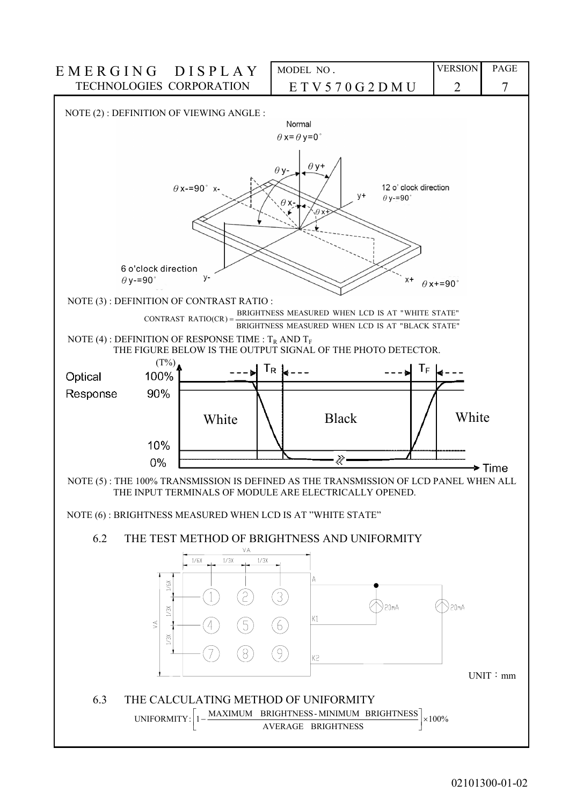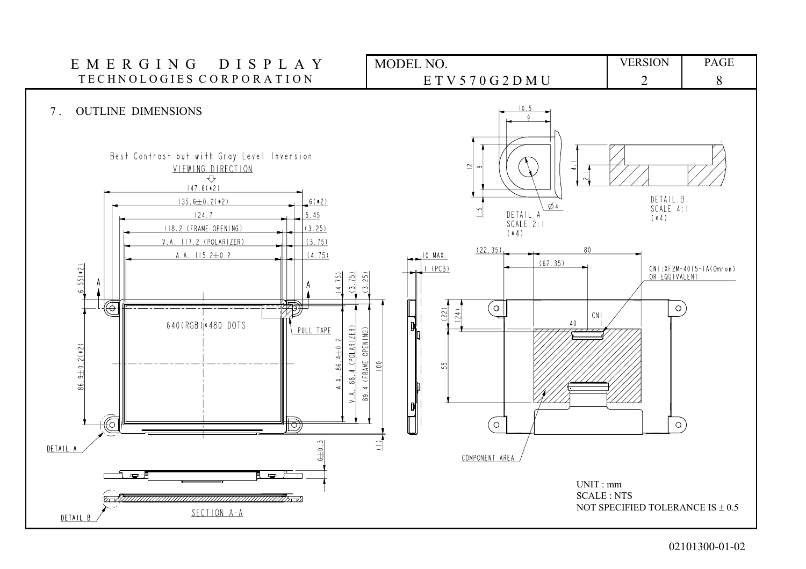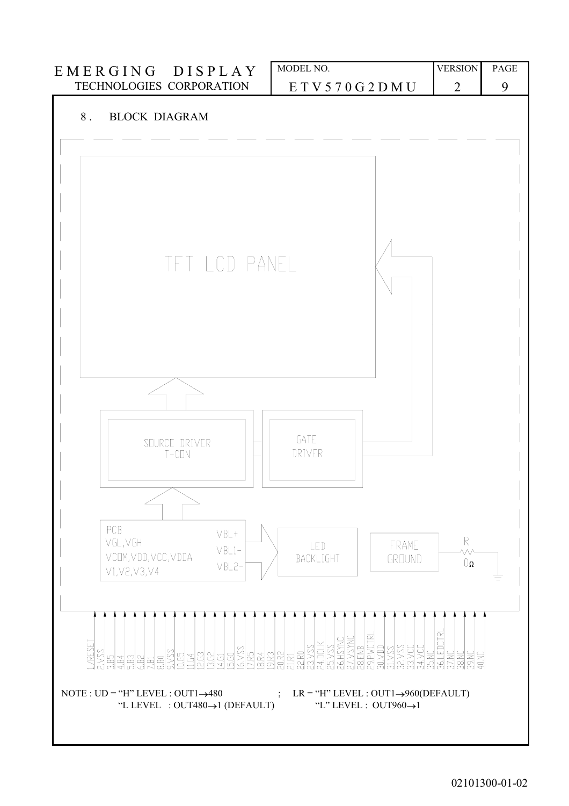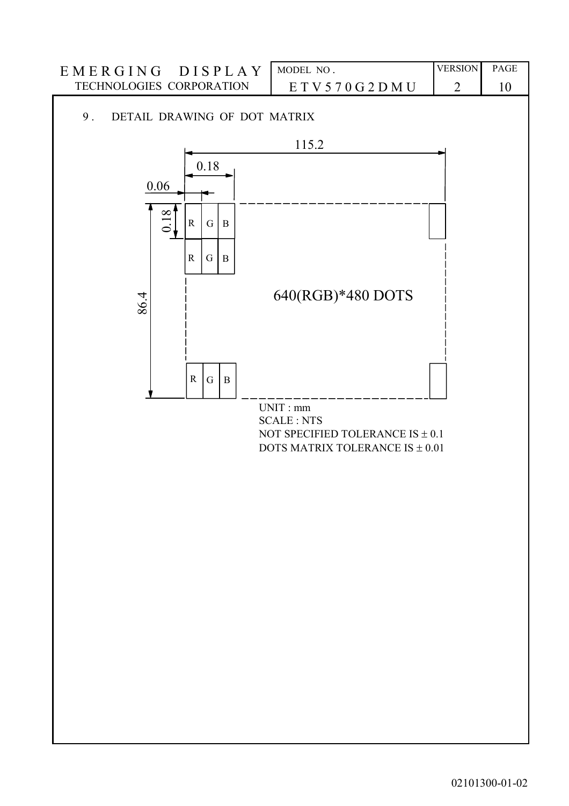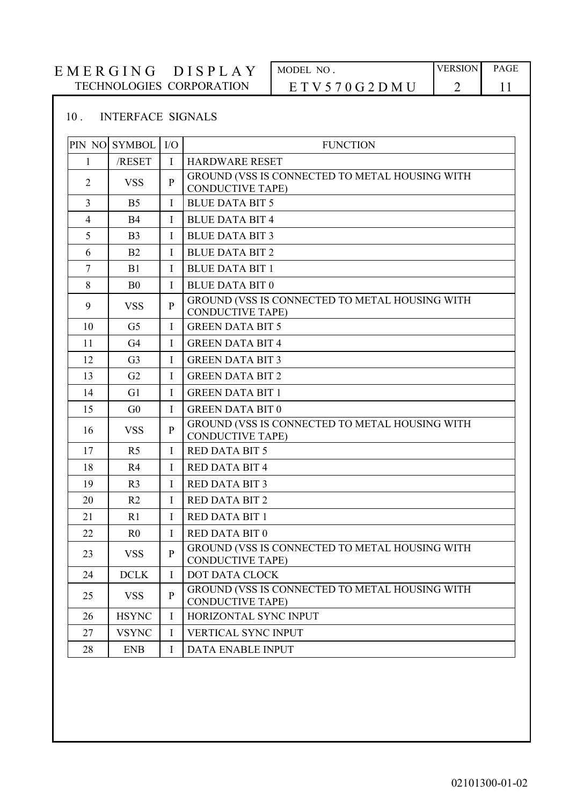## 10 . INTERFACE SIGNALS

| PIN NO         | <b>SYMBOL</b>  | $IO$         | <b>FUNCTION</b>                                                           |
|----------------|----------------|--------------|---------------------------------------------------------------------------|
| 1              | /RESET         | $\bf{I}$     | <b>HARDWARE RESET</b>                                                     |
| 2              | <b>VSS</b>     | P            | GROUND (VSS IS CONNECTED TO METAL HOUSING WITH<br><b>CONDUCTIVE TAPE)</b> |
| 3              | B <sub>5</sub> | $\bf{I}$     | <b>BLUE DATA BIT 5</b>                                                    |
| $\overline{4}$ | <b>B4</b>      | Ι            | <b>BLUE DATA BIT 4</b>                                                    |
| 5              | B <sub>3</sub> | L            | <b>BLUE DATA BIT 3</b>                                                    |
| 6              | B <sub>2</sub> | L            | <b>BLUE DATA BIT 2</b>                                                    |
| $\tau$         | B1             | I            | <b>BLUE DATA BIT 1</b>                                                    |
| 8              | B <sub>0</sub> | $\mathbf{I}$ | <b>BLUE DATA BIT 0</b>                                                    |
| 9              | <b>VSS</b>     | P            | GROUND (VSS IS CONNECTED TO METAL HOUSING WITH<br><b>CONDUCTIVE TAPE)</b> |
| 10             | G <sub>5</sub> | $\mathbf{I}$ | <b>GREEN DATA BIT 5</b>                                                   |
| 11             | G <sub>4</sub> | I            | <b>GREEN DATA BIT 4</b>                                                   |
| 12             | G <sub>3</sub> | $\mathbf{I}$ | <b>GREEN DATA BIT 3</b>                                                   |
| 13             | G2             | I            | <b>GREEN DATA BIT 2</b>                                                   |
| 14             | G <sub>1</sub> | $\mathbf I$  | <b>GREEN DATA BIT 1</b>                                                   |
| 15             | G <sub>0</sub> | I            | <b>GREEN DATA BIT 0</b>                                                   |
| 16             | <b>VSS</b>     | P            | GROUND (VSS IS CONNECTED TO METAL HOUSING WITH<br><b>CONDUCTIVE TAPE)</b> |
| 17             | R <sub>5</sub> | $\mathbf{I}$ | <b>RED DATA BIT 5</b>                                                     |
| 18             | R4             | L            | <b>RED DATA BIT 4</b>                                                     |
| 19             | R <sub>3</sub> | I            | <b>RED DATA BIT 3</b>                                                     |
| 20             | R <sub>2</sub> | I            | <b>RED DATA BIT 2</b>                                                     |
| 21             | R <sub>1</sub> | I            | <b>RED DATA BIT 1</b>                                                     |
| 22             | R <sub>0</sub> | I            | <b>RED DATA BIT 0</b>                                                     |
| 23             | <b>VSS</b>     | P            | GROUND (VSS IS CONNECTED TO METAL HOUSING WITH<br><b>CONDUCTIVE TAPE)</b> |
| 24             | <b>DCLK</b>    | I            | DOT DATA CLOCK                                                            |
| 25             | <b>VSS</b>     | $\mathbf{P}$ | GROUND (VSS IS CONNECTED TO METAL HOUSING WITH<br><b>CONDUCTIVE TAPE)</b> |
| 26             | <b>HSYNC</b>   | I            | HORIZONTAL SYNC INPUT                                                     |
| 27             | <b>VSYNC</b>   | I            | VERTICAL SYNC INPUT                                                       |
| 28             | <b>ENB</b>     | I            | DATA ENABLE INPUT                                                         |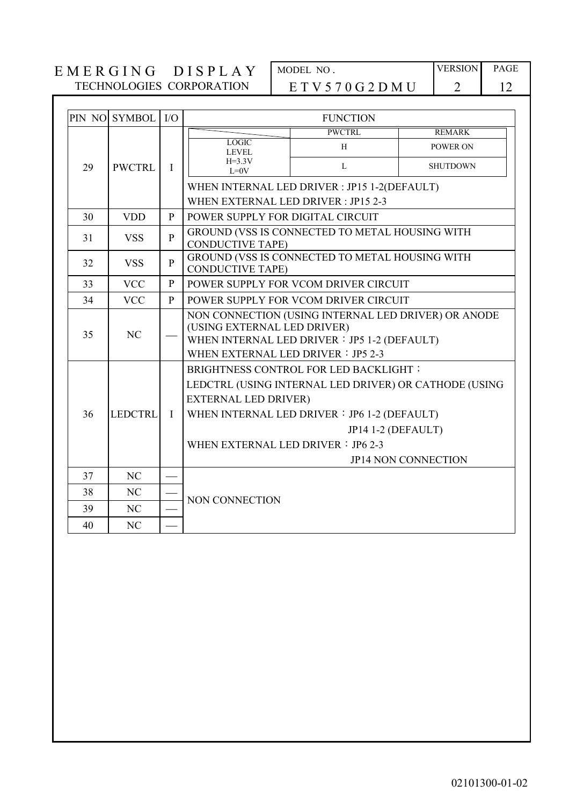|    | PIN NO SYMBOL  | I/O          |                                                                                                                                                                                                                                                                        | <b>FUNCTION</b>                                |                 |                 |  |  |  |
|----|----------------|--------------|------------------------------------------------------------------------------------------------------------------------------------------------------------------------------------------------------------------------------------------------------------------------|------------------------------------------------|-----------------|-----------------|--|--|--|
|    |                |              |                                                                                                                                                                                                                                                                        | <b>PWCTRL</b>                                  | <b>REMARK</b>   |                 |  |  |  |
|    |                | $\mathbf{I}$ | <b>LOGIC</b><br><b>LEVEL</b>                                                                                                                                                                                                                                           | H                                              | <b>POWER ON</b> |                 |  |  |  |
| 29 | <b>PWCTRL</b>  |              |                                                                                                                                                                                                                                                                        | $H=3.3V$<br>$I=0V$                             | $\mathbf{L}$    | <b>SHUTDOWN</b> |  |  |  |
|    |                |              |                                                                                                                                                                                                                                                                        | WHEN INTERNAL LED DRIVER : JP15 1-2(DEFAULT)   |                 |                 |  |  |  |
|    |                |              | WHEN EXTERNAL LED DRIVER: JP15 2-3                                                                                                                                                                                                                                     |                                                |                 |                 |  |  |  |
| 30 | <b>VDD</b>     | P            | POWER SUPPLY FOR DIGITAL CIRCUIT                                                                                                                                                                                                                                       |                                                |                 |                 |  |  |  |
| 31 | <b>VSS</b>     | $\mathbf{P}$ | <b>CONDUCTIVE TAPE)</b>                                                                                                                                                                                                                                                | GROUND (VSS IS CONNECTED TO METAL HOUSING WITH |                 |                 |  |  |  |
| 32 | <b>VSS</b>     | $\mathbf{P}$ | <b>CONDUCTIVE TAPE)</b>                                                                                                                                                                                                                                                | GROUND (VSS IS CONNECTED TO METAL HOUSING WITH |                 |                 |  |  |  |
| 33 | <b>VCC</b>     | $\mathbf{P}$ | POWER SUPPLY FOR VCOM DRIVER CIRCUIT                                                                                                                                                                                                                                   |                                                |                 |                 |  |  |  |
| 34 | <b>VCC</b>     | P            | POWER SUPPLY FOR VCOM DRIVER CIRCUIT                                                                                                                                                                                                                                   |                                                |                 |                 |  |  |  |
| 35 | NC             |              | NON CONNECTION (USING INTERNAL LED DRIVER) OR ANODE<br>(USING EXTERNAL LED DRIVER)<br>WHEN INTERNAL LED DRIVER : JP5 1-2 (DEFAULT)<br>WHEN EXTERNAL LED DRIVER: JP5 2-3                                                                                                |                                                |                 |                 |  |  |  |
| 36 | <b>LEDCTRL</b> | $\mathbf{I}$ | <b>BRIGHTNESS CONTROL FOR LED BACKLIGHT:</b><br>LEDCTRL (USING INTERNAL LED DRIVER) OR CATHODE (USING<br><b>EXTERNAL LED DRIVER)</b><br>WHEN INTERNAL LED DRIVER : JP6 1-2 (DEFAULT)<br>JP14 1-2 (DEFAULT)<br>WHEN EXTERNAL LED DRIVER: JP6 2-3<br>JP14 NON CONNECTION |                                                |                 |                 |  |  |  |
| 37 | NC             |              |                                                                                                                                                                                                                                                                        |                                                |                 |                 |  |  |  |
| 38 | NC             |              |                                                                                                                                                                                                                                                                        |                                                |                 |                 |  |  |  |
| 39 | NC             |              | NON CONNECTION                                                                                                                                                                                                                                                         |                                                |                 |                 |  |  |  |
| 40 | NC             |              |                                                                                                                                                                                                                                                                        |                                                |                 |                 |  |  |  |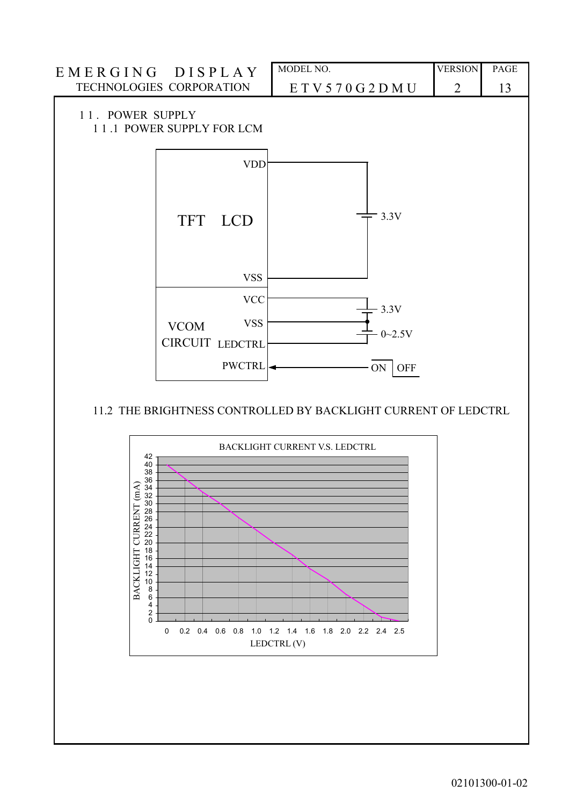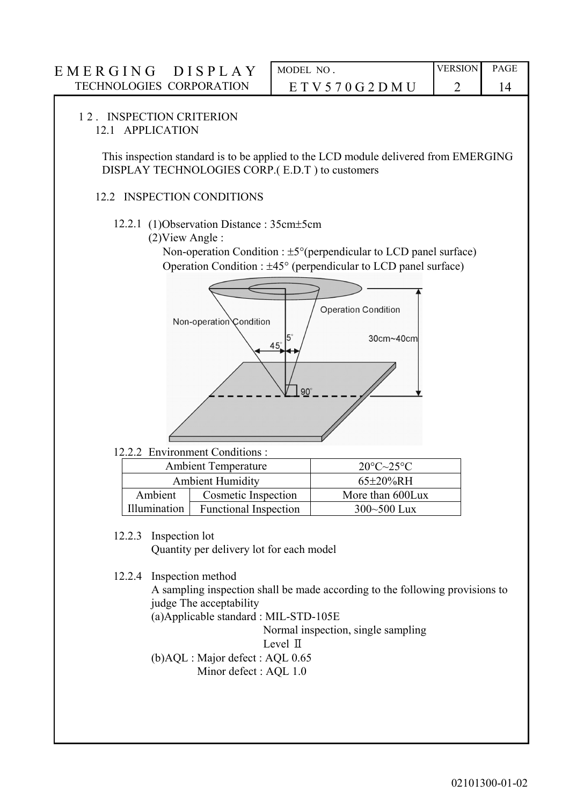# E M E R G I N G D I S P L A Y MODEL NO. VERSION PAGE TECHNOLOGIES CORPORATION E T V 5 7 0 G 2 D M U 2 14 1 2 . INSPECTION CRITERION 12.1 APPLICATION This inspection standard is to be applied to the LCD module delivered from EMERGING DISPLAY TECHNOLOGIES CORP.( E.D.T ) to customers 12.2 INSPECTION CONDITIONS

- 12.2.1 (1)Observation Distance : 35cm±5cm
	- (2)View Angle :

Non-operation Condition :  $\pm 5^{\circ}$  (perpendicular to LCD panel surface) Operation Condition : ±45° (perpendicular to LCD panel surface)



12.2.2 Environment Conditions :

|              | <b>Ambient Temperature</b>   | $20^{\circ}C - 25^{\circ}C$ |
|--------------|------------------------------|-----------------------------|
|              | <b>Ambient Humidity</b>      | $65\pm20\%$ RH              |
| Ambient      | Cosmetic Inspection          | More than 600Lux            |
| Illumination | <b>Functional Inspection</b> | $300 - 500$ Lux             |

12.2.3 Inspection lot

Quantity per delivery lot for each model

12.2.4 Inspection method

 A sampling inspection shall be made according to the following provisions to judge The acceptability

(a)Applicable standard : MIL-STD-105E

Normal inspection, single sampling

Level Ⅱ

 (b)AQL : Major defect : AQL 0.65 Minor defect : AQL 1.0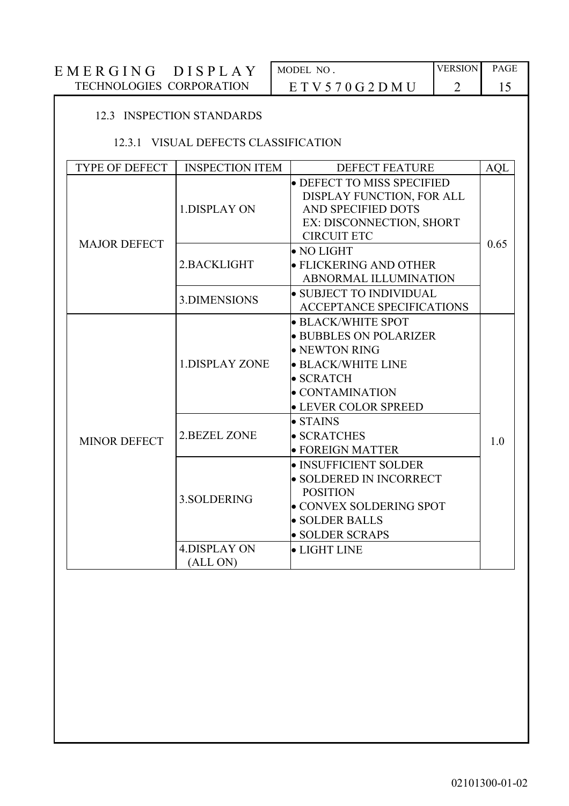| EMERGING<br><b>DISPLA</b>       | MODEL NO             | <b>VERSION</b> | <b>PAGE</b> |
|---------------------------------|----------------------|----------------|-------------|
| <b>TECHNOLOGIES CORPORATION</b> | E T V 5 70 G 2 D M U |                |             |

## 12.3 INSPECTION STANDARDS

## 12.3.1 VISUAL DEFECTS CLASSIFICATION

| <b>TYPE OF DEFECT</b> | <b>INSPECTION ITEM</b>          | <b>DEFECT FEATURE</b>                                                                                                                                                      | <b>AQL</b> |
|-----------------------|---------------------------------|----------------------------------------------------------------------------------------------------------------------------------------------------------------------------|------------|
|                       | 1.DISPLAY ON                    | <b>• DEFECT TO MISS SPECIFIED</b><br>DISPLAY FUNCTION, FOR ALL<br>AND SPECIFIED DOTS<br>EX: DISCONNECTION, SHORT<br><b>CIRCUIT ETC</b>                                     |            |
| <b>MAJOR DEFECT</b>   | 2.BACKLIGHT                     | $\bullet$ NO LIGHT<br><b>• FLICKERING AND OTHER</b><br><b>ABNORMAL ILLUMINATION</b>                                                                                        | 0.65       |
|                       | 3.DIMENSIONS                    | • SUBJECT TO INDIVIDUAL<br><b>ACCEPTANCE SPECIFICATIONS</b>                                                                                                                |            |
|                       | <b>1.DISPLAY ZONE</b>           | • BLACK/WHITE SPOT<br><b>• BUBBLES ON POLARIZER</b><br>$\bullet$ NEWTON RING<br>$\bullet$ BLACK/WHITE LINE<br>$\bullet$ SCRATCH<br>• CONTAMINATION<br>• LEVER COLOR SPREED |            |
| <b>MINOR DEFECT</b>   | <b>2.BEZEL ZONE</b>             | $\bullet$ STAINS<br>• SCRATCHES<br>$\bullet$ FOREIGN MATTER                                                                                                                | 1.0        |
|                       | 3. SOLDERING                    | · INSUFFICIENT SOLDER<br>· SOLDERED IN INCORRECT<br><b>POSITION</b><br>· CONVEX SOLDERING SPOT<br>• SOLDER BALLS<br>• SOLDER SCRAPS                                        |            |
|                       | <b>4.DISPLAY ON</b><br>(ALL ON) | • LIGHT LINE                                                                                                                                                               |            |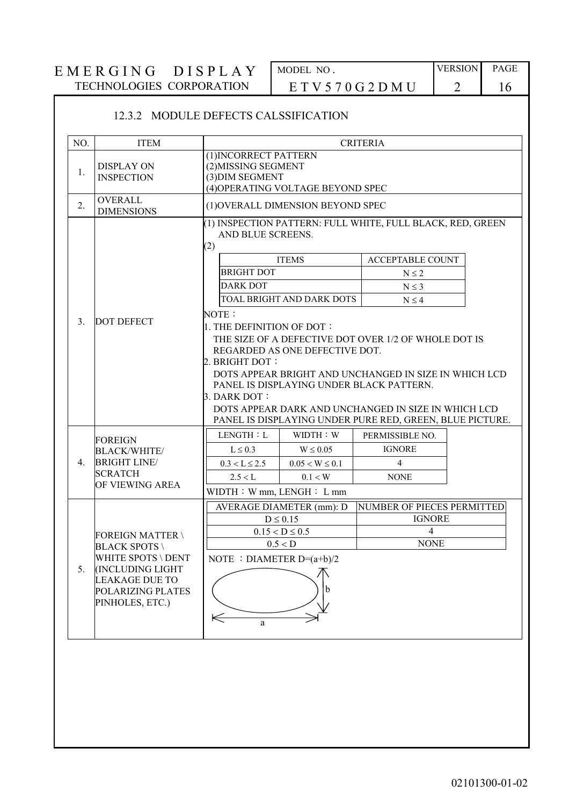# 12.3.2 MODULE DEFECTS CALSSIFICATION

| <b>DISPLAY ON</b><br>1.<br><b>INSPECTION</b><br><b>OVERALL</b><br>2.<br><b>DIMENSIONS</b> | (1) INCORRECT PATTERN<br>(2) MISSING SEGMENT<br>(3) DIM SEGMENT<br>(2) | (4) OPERATING VOLTAGE BEYOND SPEC<br>(1) OVERALL DIMENSION BEYOND SPEC          |                                                          |  |  |
|-------------------------------------------------------------------------------------------|------------------------------------------------------------------------|---------------------------------------------------------------------------------|----------------------------------------------------------|--|--|
|                                                                                           |                                                                        |                                                                                 |                                                          |  |  |
|                                                                                           |                                                                        |                                                                                 |                                                          |  |  |
|                                                                                           |                                                                        | (1) INSPECTION PATTERN: FULL WHITE, FULL BLACK, RED, GREEN<br>AND BLUE SCREENS. |                                                          |  |  |
|                                                                                           | <b>ITEMS</b>                                                           |                                                                                 | <b>ACCEPTABLE COUNT</b>                                  |  |  |
|                                                                                           | <b>BRIGHT DOT</b>                                                      |                                                                                 | $N\leq 2$                                                |  |  |
|                                                                                           | <b>DARK DOT</b>                                                        |                                                                                 | $N \leq 3$                                               |  |  |
|                                                                                           |                                                                        | TOAL BRIGHT AND DARK DOTS                                                       | $N \leq 4$                                               |  |  |
| <b>DOT DEFECT</b><br>$\mathcal{E}$                                                        | NOTE:                                                                  |                                                                                 |                                                          |  |  |
|                                                                                           | 1. THE DEFINITION OF DOT:                                              |                                                                                 |                                                          |  |  |
|                                                                                           |                                                                        |                                                                                 | THE SIZE OF A DEFECTIVE DOT OVER 1/2 OF WHOLE DOT IS     |  |  |
|                                                                                           |                                                                        | REGARDED AS ONE DEFECTIVE DOT.                                                  |                                                          |  |  |
|                                                                                           | 2. BRIGHT DOT:                                                         |                                                                                 |                                                          |  |  |
|                                                                                           |                                                                        |                                                                                 | DOTS APPEAR BRIGHT AND UNCHANGED IN SIZE IN WHICH LCD    |  |  |
|                                                                                           | $3.$ DARK DOT:                                                         | PANEL IS DISPLAYING UNDER BLACK PATTERN.                                        |                                                          |  |  |
|                                                                                           |                                                                        |                                                                                 | DOTS APPEAR DARK AND UNCHANGED IN SIZE IN WHICH LCD      |  |  |
|                                                                                           |                                                                        |                                                                                 | PANEL IS DISPLAYING UNDER PURE RED, GREEN, BLUE PICTURE. |  |  |
| <b>FOREIGN</b>                                                                            | LENGTH : L                                                             | WIDTH: W                                                                        | PERMISSIBLE NO.                                          |  |  |
| <b>BLACK/WHITE/</b>                                                                       | $L \leq 0.3$                                                           | $W \leq 0.05$                                                                   | <b>IGNORE</b>                                            |  |  |
| <b>BRIGHT LINE/</b><br>4.                                                                 | $0.3 < L \le 2.5$                                                      | $0.05 < W \leq 0.1$                                                             | $\overline{4}$                                           |  |  |
| <b>SCRATCH</b>                                                                            | 2.5 < L                                                                | 0.1 < W                                                                         | <b>NONE</b>                                              |  |  |
| OF VIEWING AREA                                                                           | $WIDTH : Wmm$ , LENGH : L mm                                           |                                                                                 |                                                          |  |  |
|                                                                                           |                                                                        | <b>AVERAGE DIAMETER (mm): D</b>                                                 | NUMBER OF PIECES PERMITTED                               |  |  |
|                                                                                           |                                                                        | $D \leq 0.15$                                                                   | <b>IGNORE</b>                                            |  |  |
| FOREIGN MATTER \                                                                          |                                                                        | $0.15 < D \le 0.5$                                                              | 4                                                        |  |  |
| <b>BLACK SPOTS</b>                                                                        |                                                                        | 0.5 < D                                                                         | <b>NONE</b>                                              |  |  |
| WHITE SPOTS \ DENT                                                                        | NOTE : DIAMETER $D=(a+b)/2$                                            |                                                                                 |                                                          |  |  |
| 5.<br><b>(INCLUDING LIGHT</b>                                                             |                                                                        |                                                                                 |                                                          |  |  |
| <b>LEAKAGE DUE TO</b>                                                                     |                                                                        | b                                                                               |                                                          |  |  |
| POLARIZING PLATES<br>PINHOLES, ETC.)                                                      |                                                                        |                                                                                 |                                                          |  |  |
|                                                                                           |                                                                        |                                                                                 |                                                          |  |  |
|                                                                                           | $\Leftarrow$<br>a                                                      |                                                                                 |                                                          |  |  |
|                                                                                           |                                                                        |                                                                                 |                                                          |  |  |
|                                                                                           |                                                                        |                                                                                 |                                                          |  |  |
|                                                                                           |                                                                        |                                                                                 |                                                          |  |  |
|                                                                                           |                                                                        |                                                                                 |                                                          |  |  |
|                                                                                           |                                                                        |                                                                                 |                                                          |  |  |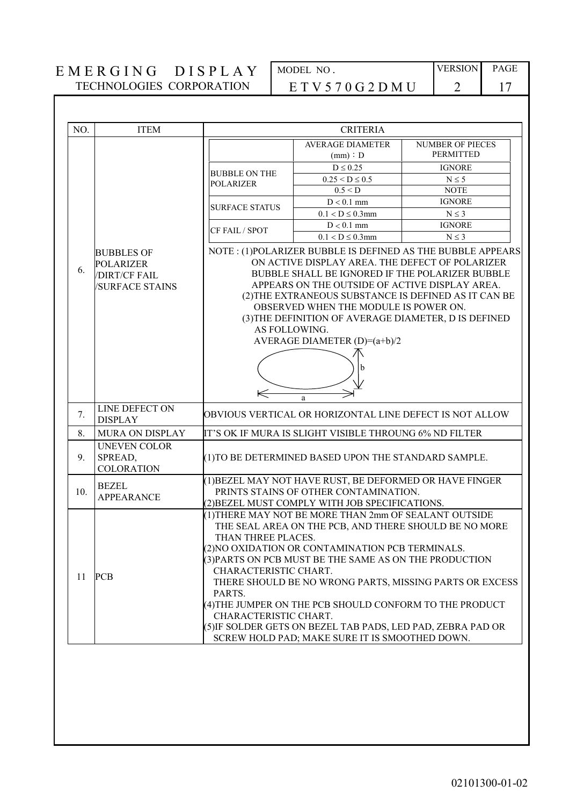| NO. | <b>ITEM</b>                                                                           | <b>CRITERIA</b>                                                                                                                                                                                                                                                                                                                                                                                                                             |                                                                                                                                                                                                                                                                                                                                                                                                          |                                                         |  |  |
|-----|---------------------------------------------------------------------------------------|---------------------------------------------------------------------------------------------------------------------------------------------------------------------------------------------------------------------------------------------------------------------------------------------------------------------------------------------------------------------------------------------------------------------------------------------|----------------------------------------------------------------------------------------------------------------------------------------------------------------------------------------------------------------------------------------------------------------------------------------------------------------------------------------------------------------------------------------------------------|---------------------------------------------------------|--|--|
|     |                                                                                       |                                                                                                                                                                                                                                                                                                                                                                                                                                             | <b>AVERAGE DIAMETER</b><br>(mm) : D                                                                                                                                                                                                                                                                                                                                                                      | <b>NUMBER OF PIECES</b><br><b>PERMITTED</b>             |  |  |
|     |                                                                                       |                                                                                                                                                                                                                                                                                                                                                                                                                                             | $D \leq 0.25$                                                                                                                                                                                                                                                                                                                                                                                            | <b>IGNORE</b>                                           |  |  |
|     |                                                                                       | <b>BUBBLE ON THE</b><br><b>POLARIZER</b>                                                                                                                                                                                                                                                                                                                                                                                                    | $0.25 < D \le 0.5$                                                                                                                                                                                                                                                                                                                                                                                       | $N \leq 5$                                              |  |  |
|     |                                                                                       |                                                                                                                                                                                                                                                                                                                                                                                                                                             | 0.5 < D                                                                                                                                                                                                                                                                                                                                                                                                  | <b>NOTE</b>                                             |  |  |
|     |                                                                                       | <b>SURFACE STATUS</b>                                                                                                                                                                                                                                                                                                                                                                                                                       | $D < 0.1$ mm                                                                                                                                                                                                                                                                                                                                                                                             | <b>IGNORE</b>                                           |  |  |
|     |                                                                                       |                                                                                                                                                                                                                                                                                                                                                                                                                                             | $0.1 < D \le 0.3$ mm                                                                                                                                                                                                                                                                                                                                                                                     | $N \leq 3$                                              |  |  |
|     |                                                                                       | CF FAIL / SPOT                                                                                                                                                                                                                                                                                                                                                                                                                              | $D < 0.1$ mm                                                                                                                                                                                                                                                                                                                                                                                             | <b>IGNORE</b>                                           |  |  |
|     |                                                                                       |                                                                                                                                                                                                                                                                                                                                                                                                                                             | $0.1 < D \le 0.3$ mm                                                                                                                                                                                                                                                                                                                                                                                     | $N \leq 3$                                              |  |  |
| 6.  | <b>BUBBLES OF</b><br><b>POLARIZER</b><br><b>DIRT/CF FAIL</b><br><b>SURFACE STAINS</b> | NOTE: (1)POLARIZER BUBBLE IS DEFINED AS THE BUBBLE APPEARS<br>ON ACTIVE DISPLAY AREA. THE DEFECT OF POLARIZER<br>BUBBLE SHALL BE IGNORED IF THE POLARIZER BUBBLE<br>APPEARS ON THE OUTSIDE OF ACTIVE DISPLAY AREA.<br>(2) THE EXTRANEOUS SUBSTANCE IS DEFINED AS IT CAN BE<br>OBSERVED WHEN THE MODULE IS POWER ON.<br>(3) THE DEFINITION OF AVERAGE DIAMETER, D IS DEFINED<br>AS FOLLOWING.<br>AVERAGE DIAMETER (D)=(a+b)/2<br>b<br>⇐<br>a |                                                                                                                                                                                                                                                                                                                                                                                                          |                                                         |  |  |
| 7.  | LINE DEFECT ON<br><b>DISPLAY</b>                                                      |                                                                                                                                                                                                                                                                                                                                                                                                                                             | OBVIOUS VERTICAL OR HORIZONTAL LINE DEFECT IS NOT ALLOW                                                                                                                                                                                                                                                                                                                                                  |                                                         |  |  |
| 8.  | <b>MURA ON DISPLAY</b>                                                                |                                                                                                                                                                                                                                                                                                                                                                                                                                             | IT'S OK IF MURA IS SLIGHT VISIBLE THROUNG 6% ND FILTER                                                                                                                                                                                                                                                                                                                                                   |                                                         |  |  |
| 9.  | <b>UNEVEN COLOR</b><br>SPREAD,<br><b>COLORATION</b>                                   | (1) TO BE DETERMINED BASED UPON THE STANDARD SAMPLE.                                                                                                                                                                                                                                                                                                                                                                                        |                                                                                                                                                                                                                                                                                                                                                                                                          |                                                         |  |  |
| 10. | <b>BEZEL</b><br><b>APPEARANCE</b>                                                     | (1) BEZEL MAY NOT HAVE RUST, BE DEFORMED OR HAVE FINGER<br>PRINTS STAINS OF OTHER CONTAMINATION.<br>(2) BEZEL MUST COMPLY WITH JOB SPECIFICATIONS.                                                                                                                                                                                                                                                                                          |                                                                                                                                                                                                                                                                                                                                                                                                          |                                                         |  |  |
| 11  | <b>PCB</b>                                                                            | THAN THREE PLACES.<br>CHARACTERISTIC CHART.<br>PARTS.<br>CHARACTERISTIC CHART.                                                                                                                                                                                                                                                                                                                                                              | (1) THERE MAY NOT BE MORE THAN 2mm OF SEALANT OUTSIDE<br>THE SEAL AREA ON THE PCB, AND THERE SHOULD BE NO MORE<br>(2) NO OXIDATION OR CONTAMINATION PCB TERMINALS.<br>(3) PARTS ON PCB MUST BE THE SAME AS ON THE PRODUCTION<br>(4) THE JUMPER ON THE PCB SHOULD CONFORM TO THE PRODUCT<br>(5) IF SOLDER GETS ON BEZEL TAB PADS, LED PAD, ZEBRA PAD OR<br>SCREW HOLD PAD; MAKE SURE IT IS SMOOTHED DOWN. | THERE SHOULD BE NO WRONG PARTS, MISSING PARTS OR EXCESS |  |  |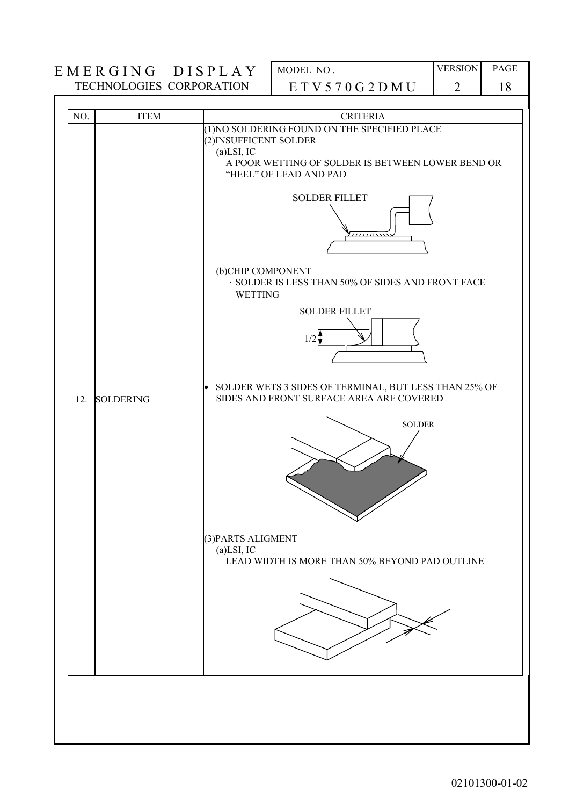| NO.<br>12. | <b>ITEM</b><br><b>SOLDERING</b> | <b>CRITERIA</b><br>(1) NO SOLDERING FOUND ON THE SPECIFIED PLACE<br>(2) INSUFFICENT SOLDER<br>$(a)$ LSI, IC<br>A POOR WETTING OF SOLDER IS BETWEEN LOWER BEND OR<br>"HEEL" OF LEAD AND PAD<br><b>SOLDER FILLET</b><br>(b)CHIP COMPONENT<br>· SOLDER IS LESS THAN 50% OF SIDES AND FRONT FACE<br><b>WETTING</b><br><b>SOLDER FILLET</b><br>$1/2 +$<br>SOLDER WETS 3 SIDES OF TERMINAL, BUT LESS THAN 25% OF<br>$\bullet$<br>SIDES AND FRONT SURFACE AREA ARE COVERED<br><b>SOLDER</b><br>(3) PARTS ALIGMENT<br>$(a)$ LSI, IC<br>LEAD WIDTH IS MORE THAN 50% BEYOND PAD OUTLINE |
|------------|---------------------------------|-------------------------------------------------------------------------------------------------------------------------------------------------------------------------------------------------------------------------------------------------------------------------------------------------------------------------------------------------------------------------------------------------------------------------------------------------------------------------------------------------------------------------------------------------------------------------------|
|            |                                 |                                                                                                                                                                                                                                                                                                                                                                                                                                                                                                                                                                               |
|            |                                 |                                                                                                                                                                                                                                                                                                                                                                                                                                                                                                                                                                               |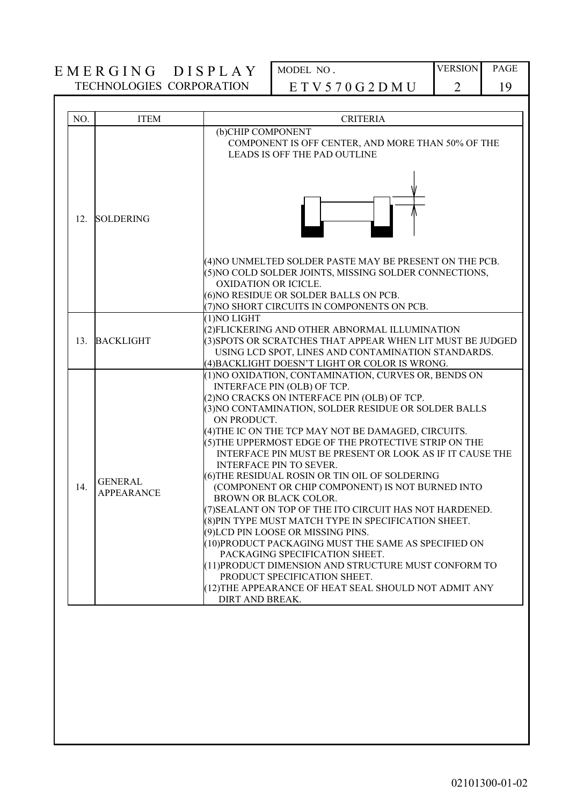| NO.<br><b>ITEM</b>                         | <b>CRITERIA</b>                                                                                                                                                                                                                                                                                                                                                                                                                                                                                                                                                                                                                                                                                                                                                                                                                                                                                                                                                                     |
|--------------------------------------------|-------------------------------------------------------------------------------------------------------------------------------------------------------------------------------------------------------------------------------------------------------------------------------------------------------------------------------------------------------------------------------------------------------------------------------------------------------------------------------------------------------------------------------------------------------------------------------------------------------------------------------------------------------------------------------------------------------------------------------------------------------------------------------------------------------------------------------------------------------------------------------------------------------------------------------------------------------------------------------------|
|                                            | (b)CHIP COMPONENT<br>COMPONENT IS OFF CENTER, AND MORE THAN 50% OF THE<br><b>LEADS IS OFF THE PAD OUTLINE</b>                                                                                                                                                                                                                                                                                                                                                                                                                                                                                                                                                                                                                                                                                                                                                                                                                                                                       |
| <b>SOLDERING</b><br>12.                    |                                                                                                                                                                                                                                                                                                                                                                                                                                                                                                                                                                                                                                                                                                                                                                                                                                                                                                                                                                                     |
|                                            | (4) NO UNMELTED SOLDER PASTE MAY BE PRESENT ON THE PCB.<br>(5) NO COLD SOLDER JOINTS, MISSING SOLDER CONNECTIONS,<br><b>OXIDATION OR ICICLE.</b><br>(6) NO RESIDUE OR SOLDER BALLS ON PCB.<br>(7) NO SHORT CIRCUITS IN COMPONENTS ON PCB.                                                                                                                                                                                                                                                                                                                                                                                                                                                                                                                                                                                                                                                                                                                                           |
| <b>BACKLIGHT</b><br>13.                    | (1)NO LIGHT<br>(2)FLICKERING AND OTHER ABNORMAL ILLUMINATION<br>(3) SPOTS OR SCRATCHES THAT APPEAR WHEN LIT MUST BE JUDGED<br>USING LCD SPOT, LINES AND CONTAMINATION STANDARDS.<br>(4) BACKLIGHT DOESN'T LIGHT OR COLOR IS WRONG.                                                                                                                                                                                                                                                                                                                                                                                                                                                                                                                                                                                                                                                                                                                                                  |
| <b>GENERAL</b><br>14.<br><b>APPEARANCE</b> | (1) NO OXIDATION, CONTAMINATION, CURVES OR, BENDS ON<br>INTERFACE PIN (OLB) OF TCP.<br>(2) NO CRACKS ON INTERFACE PIN (OLB) OF TCP.<br>(3) NO CONTAMINATION, SOLDER RESIDUE OR SOLDER BALLS<br>ON PRODUCT.<br>(4) THE IC ON THE TCP MAY NOT BE DAMAGED, CIRCUITS.<br>(5) THE UPPERMOST EDGE OF THE PROTECTIVE STRIP ON THE<br>INTERFACE PIN MUST BE PRESENT OR LOOK AS IF IT CAUSE THE<br><b>INTERFACE PIN TO SEVER.</b><br>(6) THE RESIDUAL ROSIN OR TIN OIL OF SOLDERING<br>(COMPONENT OR CHIP COMPONENT) IS NOT BURNED INTO<br><b>BROWN OR BLACK COLOR.</b><br>(7) SEALANT ON TOP OF THE ITO CIRCUIT HAS NOT HARDENED.<br>(8) PIN TYPE MUST MATCH TYPE IN SPECIFICATION SHEET.<br>(9)LCD PIN LOOSE OR MISSING PINS.<br>(10)PRODUCT PACKAGING MUST THE SAME AS SPECIFIED ON<br>PACKAGING SPECIFICATION SHEET.<br>(11) PRODUCT DIMENSION AND STRUCTURE MUST CONFORM TO<br>PRODUCT SPECIFICATION SHEET.<br>(12) THE APPEARANCE OF HEAT SEAL SHOULD NOT ADMIT ANY<br>DIRT AND BREAK. |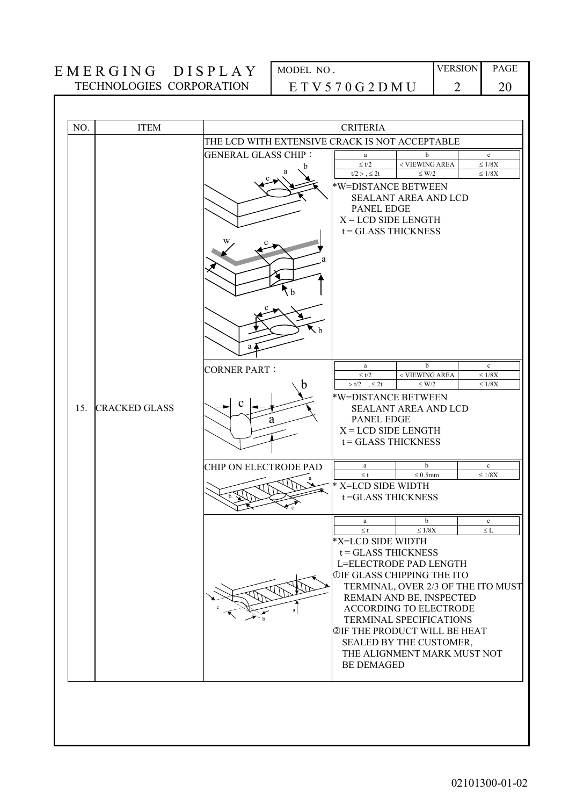| NO. | <b>ITEM</b>          | <b>CRITERIA</b>                                             |                                                                                                                                                                                                 |                                                                                                                                                                                                                                       |                                                                          |
|-----|----------------------|-------------------------------------------------------------|-------------------------------------------------------------------------------------------------------------------------------------------------------------------------------------------------|---------------------------------------------------------------------------------------------------------------------------------------------------------------------------------------------------------------------------------------|--------------------------------------------------------------------------|
|     |                      | THE LCD WITH EXTENSIVE CRACK IS NOT ACCEPTABLE              |                                                                                                                                                                                                 |                                                                                                                                                                                                                                       |                                                                          |
|     |                      | <b>GENERAL GLASS CHIP:</b><br>Кb.                           | a<br>$\leq t/2$<br>$t/2$ > $\leq$ 2t<br>*W=DISTANCE BETWEEN<br><b>PANEL EDGE</b><br>$X = LCD$ SIDE LENGTH<br>$t = GLASSTHICKNESS$                                                               | b<br>< VIEWING AREA<br>$\leq W/2$<br><b>SEALANT AREA AND LCD</b>                                                                                                                                                                      | $\mathbf{c}$<br>$\leq 1/8\mathrm{X}$<br>$\leq 1/8\textrm{X}$             |
| 15. | <b>CRACKED GLASS</b> | a<br><b>CORNER PART:</b><br>h<br>a<br>CHIP ON ELECTRODE PAD | a<br>$\leq t/2$<br>$> t/2$ , $\leq 2t$<br>*W=DISTANCE BETWEEN<br><b>PANEL EDGE</b><br>$X = LCD$ SIDE LENGTH<br>$t = GLASSTHICKNESS$<br>a<br>$\leq$ t<br>* X=LCD SIDE WIDTH<br>t=GLASS THICKNESS | b<br>< VIEWING AREA<br>$\leq$ W/2<br><b>SEALANT AREA AND LCD</b><br>b<br>$\leq 0.5$ mm                                                                                                                                                | $\mathbf{c}$<br>$\leq 1/8X$<br>$\leq 1/8X$<br>$\mathbf c$<br>$\leq 1/8X$ |
|     |                      |                                                             | $\mathbf{a}$<br>$\leq$ t<br>*X=LCD SIDE WIDTH<br>$t = GLASSTHICKNESS$<br><b>OIF GLASS CHIPPING THE ITO</b><br><b>@IF THE PRODUCT WILL BE HEAT</b><br><b>BE DEMAGED</b>                          | $\mathbf b$<br>$\leq 1/8X$<br>L=ELECTRODE PAD LENGTH<br>TERMINAL, OVER 2/3 OF THE ITO MUST<br>REMAIN AND BE, INSPECTED<br>ACCORDING TO ELECTRODE<br>TERMINAL SPECIFICATIONS<br>SEALED BY THE CUSTOMER,<br>THE ALIGNMENT MARK MUST NOT | $\mathbf{c}$<br>$\leq$ L                                                 |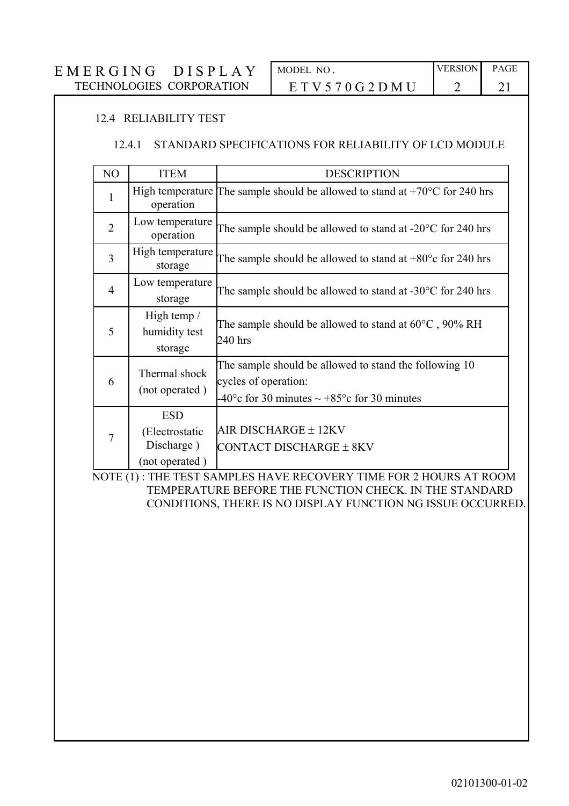#### 12.4 RELIABILITY TEST

#### 12.4.1 STANDARD SPECIFICATIONS FOR RELIABILITY OF LCD MODULE

|  | NO                                                                                                                                                   | <b>ITEM</b>                                                   | <b>DESCRIPTION</b>                                                                                                                                  |  |
|--|------------------------------------------------------------------------------------------------------------------------------------------------------|---------------------------------------------------------------|-----------------------------------------------------------------------------------------------------------------------------------------------------|--|
|  | 1<br>operation<br>Low temperature<br>$\overline{2}$<br>operation<br>High temperature<br>3<br>storage<br>Low temperature<br>$\overline{4}$<br>storage |                                                               | High temperature The sample should be allowed to stand at $+70^{\circ}$ C for 240 hrs                                                               |  |
|  |                                                                                                                                                      |                                                               | The sample should be allowed to stand at $-20^{\circ}$ C for 240 hrs                                                                                |  |
|  |                                                                                                                                                      |                                                               | The sample should be allowed to stand at $+80^{\circ}$ c for 240 hrs                                                                                |  |
|  |                                                                                                                                                      |                                                               | The sample should be allowed to stand at $-30^{\circ}$ C for 240 hrs                                                                                |  |
|  | 5                                                                                                                                                    | High temp $/$<br>humidity test<br>storage                     | The sample should be allowed to stand at $60^{\circ}$ C, 90% RH<br>240 hrs                                                                          |  |
|  | 6                                                                                                                                                    | Thermal shock<br>(not operated)                               | The sample should be allowed to stand the following 10<br>cycles of operation:<br>-40 $\degree$ c for 30 minutes $\sim +85\degree$ c for 30 minutes |  |
|  | $\overline{7}$                                                                                                                                       | <b>ESD</b><br>(Electrostatic)<br>Discharge)<br>(not operated) | AIR DISCHARGE $\pm$ 12KV<br>CONTACT DISCHARGE ± 8KV                                                                                                 |  |

 NOTE (1) : THE TEST SAMPLES HAVE RECOVERY TIME FOR 2 HOURS AT ROOM TEMPERATURE BEFORE THE FUNCTION CHECK. IN THE STANDARD CONDITIONS, THERE IS NO DISPLAY FUNCTION NG ISSUE OCCURRED.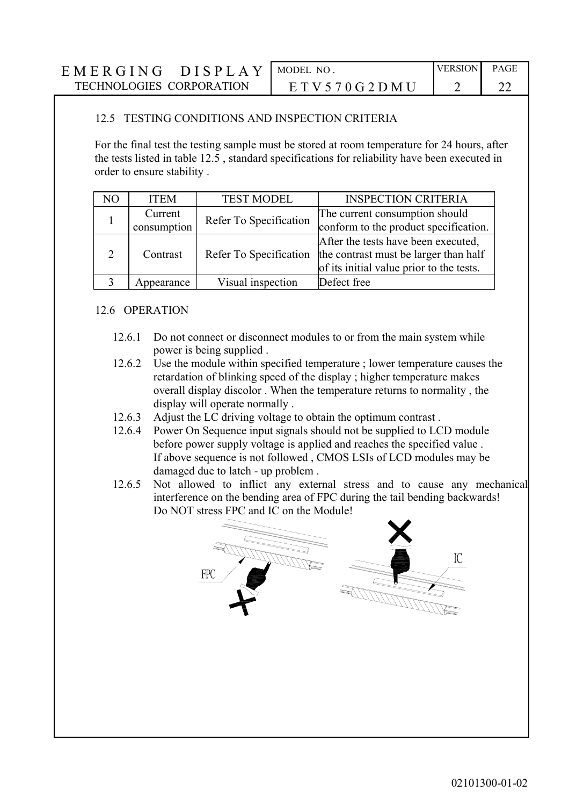| EMERGING<br><b>DISPLAY</b>      | MODEL NO             | <b>VERSION</b> | PAGE |
|---------------------------------|----------------------|----------------|------|
| <b>TECHNOLOGIES CORPORATION</b> | E T V 5 70 G 2 D M U |                |      |

#### 12.5 TESTING CONDITIONS AND INSPECTION CRITERIA

For the final test the testing sample must be stored at room temperature for 24 hours, after the tests listed in table 12.5 , standard specifications for reliability have been executed in order to ensure stability .

| N <sub>O</sub> | <b>ITEM</b>            | <b>TEST MODEL</b>      | <b>INSPECTION CRITERIA</b>                                                                                               |
|----------------|------------------------|------------------------|--------------------------------------------------------------------------------------------------------------------------|
|                | Current<br>consumption | Refer To Specification | The current consumption should<br>conform to the product specification.                                                  |
| 2              | Contrast               | Refer To Specification | After the tests have been executed,<br>the contrast must be larger than half<br>of its initial value prior to the tests. |
|                | Appearance             | Visual inspection      | Defect free                                                                                                              |

#### 12.6 OPERATION

- 12.6.1 Do not connect or disconnect modules to or from the main system while power is being supplied .
- 12.6.2 Use the module within specified temperature ; lower temperature causes the retardation of blinking speed of the display ; higher temperature makes overall display discolor . When the temperature returns to normality , the display will operate normally .
- 12.6.3 Adjust the LC driving voltage to obtain the optimum contrast .
- 12.6.4 Power On Sequence input signals should not be supplied to LCD module before power supply voltage is applied and reaches the specified value . If above sequence is not followed , CMOS LSIs of LCD modules may be damaged due to latch - up problem .
- 12.6.5 Not allowed to inflict any external stress and to cause any mechanical interference on the bending area of FPC during the tail bending backwards! Do NOT stress FPC and IC on the Module!